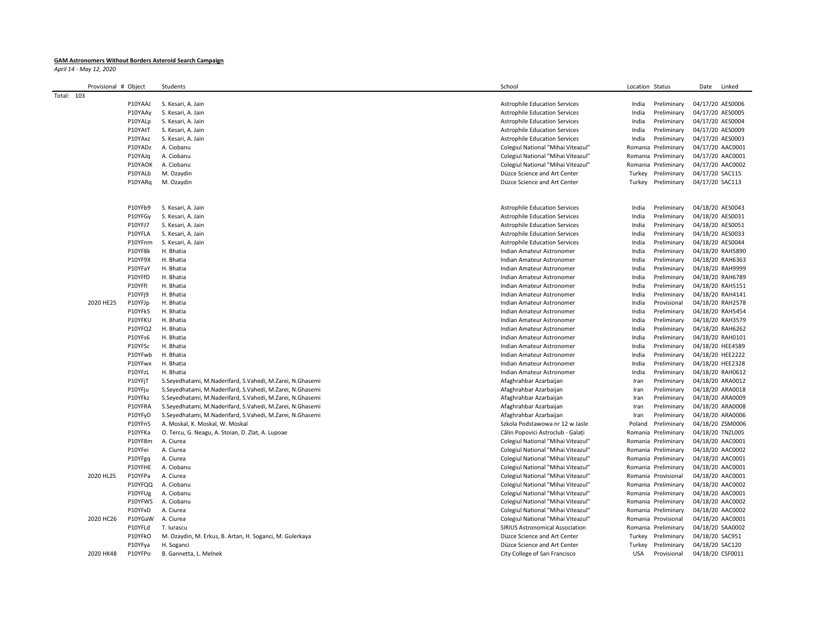## **GAM Astronomers Without Borders Asteroid Search Campaign**

*April 14 - May 12, 2020*

|            | Provisional # Object |                    | Students                                                  | School                                 | Location Status     |                            | Date             | Linked |
|------------|----------------------|--------------------|-----------------------------------------------------------|----------------------------------------|---------------------|----------------------------|------------------|--------|
| Total: 103 |                      |                    |                                                           |                                        |                     |                            |                  |        |
|            |                      | P10YAAJ            | S. Kesari, A. Jain                                        | <b>Astrophile Education Services</b>   | India               | Preliminary                | 04/17/20 AES0006 |        |
|            |                      | P10YAAy            | S. Kesari, A. Jain                                        | <b>Astrophile Education Services</b>   | India               | Preliminary                | 04/17/20 AES0005 |        |
|            |                      | P10YALp            | S. Kesari, A. Jain                                        | <b>Astrophile Education Services</b>   | India               | Preliminary                | 04/17/20 AES0004 |        |
|            |                      | P10YAtT            | S. Kesari, A. Jain                                        | <b>Astrophile Education Services</b>   | India               | Preliminary                | 04/17/20 AES0009 |        |
|            |                      | P10YAxz            | S. Kesari, A. Jain                                        | <b>Astrophile Education Services</b>   | India               | Preliminary                | 04/17/20 AES0003 |        |
|            |                      | P10YADz            | A. Ciobanu                                                | Colegiul National "Mihai Viteazul"     | Romania Preliminary |                            | 04/17/20 AAC0001 |        |
|            |                      | P10YAJq            | A. Ciobanu                                                | Colegiul National "Mihai Viteazul"     | Romania Preliminary |                            | 04/17/20 AAC0001 |        |
|            |                      | P10YAOK            | A. Ciobanu                                                | Colegiul National "Mihai Viteazul"     | Romania Preliminary |                            | 04/17/20 AAC0002 |        |
|            |                      | P10YALb            | M. Ozaydin                                                | Düzce Science and Art Center           | Turkey              | Preliminary                | 04/17/20 SAC115  |        |
|            |                      | P10YARq            | M. Ozaydin                                                | Düzce Science and Art Center           | Turkey              | Preliminary                | 04/17/20 SAC113  |        |
|            |                      |                    |                                                           |                                        |                     |                            |                  |        |
|            |                      |                    |                                                           |                                        |                     |                            |                  |        |
|            |                      | P10YFb9            | S. Kesari, A. Jain                                        | <b>Astrophile Education Services</b>   | India               | Preliminary                | 04/18/20 AES0043 |        |
|            |                      | P10YFGy            | S. Kesari, A. Jain                                        | <b>Astrophile Education Services</b>   | India               | Preliminary                | 04/18/20 AES0031 |        |
|            |                      |                    |                                                           |                                        |                     |                            |                  |        |
|            |                      | P10YFJ7<br>P10YFLA | S. Kesari, A. Jain                                        | <b>Astrophile Education Services</b>   | India               | Preliminary<br>Preliminary | 04/18/20 AES0051 |        |
|            |                      |                    | S. Kesari, A. Jain                                        | <b>Astrophile Education Services</b>   | India               |                            | 04/18/20 AES0033 |        |
|            |                      | P10YFnm            | S. Kesari, A. Jain                                        | <b>Astrophile Education Services</b>   | India               | Preliminary                | 04/18/20 AES0044 |        |
|            |                      | P10YF8k            | H. Bhatia                                                 | Indian Amateur Astronomer              | India               | Preliminary                | 04/18/20 RAH5890 |        |
|            |                      | P10YF9X            | H. Bhatia                                                 | Indian Amateur Astronomer              | India               | Preliminary                | 04/18/20 RAH6363 |        |
|            |                      | P10YFaY            | H. Bhatia                                                 | Indian Amateur Astronomer              | India               | Preliminary                | 04/18/20 RAH9999 |        |
|            |                      | P10YFfD            | H. Bhatia                                                 | Indian Amateur Astronomer              | India               | Preliminary                | 04/18/20 RAH6789 |        |
|            |                      | P10YFfI            | H. Bhatia                                                 | Indian Amateur Astronomer              | India               | Preliminary                | 04/18/20 RAH5151 |        |
|            |                      | P10YFj9            | H. Bhatia                                                 | Indian Amateur Astronomer              | India               | Preliminary                | 04/18/20 RAH4141 |        |
|            | 2020 HE25            | P10YFJp            | H. Bhatia                                                 | Indian Amateur Astronomer              | India               | Provisional                | 04/18/20 RAH2578 |        |
|            |                      | P10YFk5            | H. Bhatia                                                 | Indian Amateur Astronomer              | India               | Preliminary                | 04/18/20 RAH5454 |        |
|            |                      | P10YFKU            | H. Bhatia                                                 | Indian Amateur Astronomer              | India               | Preliminary                | 04/18/20 RAH3579 |        |
|            |                      | P10YFQ2            | H. Bhatia                                                 | Indian Amateur Astronomer              | India               | Preliminary                | 04/18/20 RAH6262 |        |
|            |                      | P10YFs6            | H. Bhatia                                                 | Indian Amateur Astronomer              | India               | Preliminary                | 04/18/20 RAH0101 |        |
|            |                      | P10YFSc            | H. Bhatia                                                 | Indian Amateur Astronomer              | India               | Preliminary                | 04/18/20 HEE4589 |        |
|            |                      | P10YFwb            | H. Bhatia                                                 | Indian Amateur Astronomer              | India               | Preliminary                | 04/18/20 HEE2222 |        |
|            |                      | P10YFwx            | H. Bhatia                                                 | Indian Amateur Astronomer              | India               | Preliminary                | 04/18/20 HEE2328 |        |
|            |                      | P10YFzL            | H. Bhatia                                                 | Indian Amateur Astronomer              | India               | Preliminary                | 04/18/20 RAH0612 |        |
|            |                      | P10YFjT            | S.Seyedhatami, M.Naderifard, S.Vahedi, M.Zarei, N.Ghasemi | Afaghrahbar Azarbaijan                 | Iran                | Preliminary                | 04/18/20 ARA0012 |        |
|            |                      | P10YFju            | S.Seyedhatami, M.Naderifard, S.Vahedi, M.Zarei, N.Ghasemi | Afaghrahbar Azarbaijan                 | Iran                | Preliminary                | 04/18/20 ARA0018 |        |
|            |                      | P10YFkz            | S.Seyedhatami, M.Naderifard, S.Vahedi, M.Zarei, N.Ghasemi | Afaghrahbar Azarbaijan                 | Iran                | Preliminary                | 04/18/20 ARA0009 |        |
|            |                      | P10YFRA            | S.Seyedhatami, M.Naderifard, S.Vahedi, M.Zarei, N.Ghasemi | Afaghrahbar Azarbaijan                 | Iran                | Preliminary                | 04/18/20 ARA0008 |        |
|            |                      | P10YFyD            | S.Seyedhatami, M.Naderifard, S.Vahedi, M.Zarei, N.Ghasemi | Afaghrahbar Azarbaijan                 | Iran                | Preliminary                | 04/18/20 ARA0006 |        |
|            |                      | P10YFn5            | A. Moskal, K. Moskal, W. Moskal                           | Szkola Podstawowa nr 12 w Jasle        | Poland              | Preliminary                | 04/18/20 ZSM0006 |        |
|            |                      | P10YFKa            | O. Tercu, G. Neagu, A. Stoian, D. Zlat, A. Lupoae         | Călin Popovici Astroclub - Galați      | Romania Preliminary |                            | 04/18/20 TNZL005 |        |
|            |                      | P10YF8m            | A. Ciurea                                                 | Colegiul National "Mihai Viteazul"     | Romania Preliminary |                            | 04/18/20 AAC0001 |        |
|            |                      | P10YFei            | A. Ciurea                                                 | Colegiul National "Mihai Viteazul"     | Romania Preliminary |                            | 04/18/20 AAC0002 |        |
|            |                      | P10YFgq            | A. Ciurea                                                 | Colegiul National "Mihai Viteazul"     | Romania Preliminary |                            | 04/18/20 AAC0001 |        |
|            |                      | P10YFHE            | A. Ciobanu                                                | Colegiul National "Mihai Viteazul"     | Romania Preliminary |                            | 04/18/20 AAC0001 |        |
|            | 2020 HL25            | P10YFPa            | A. Ciurea                                                 |                                        | Romania Provisional |                            | 04/18/20 AAC0001 |        |
|            |                      |                    |                                                           | Colegiul National "Mihai Viteazul"     |                     |                            |                  |        |
|            |                      | P10YFQQ            | A. Ciobanu                                                | Colegiul National "Mihai Viteazul"     | Romania Preliminary |                            | 04/18/20 AAC0002 |        |
|            |                      | P10YFUg            | A. Ciobanu                                                | Colegiul National "Mihai Viteazul"     | Romania Preliminary |                            | 04/18/20 AAC0001 |        |
|            |                      | P10YFWS            | A. Ciobanu                                                | Colegiul National "Mihai Viteazul"     | Romania Preliminary |                            | 04/18/20 AAC0002 |        |
|            |                      | P10YFxD            | A. Ciurea                                                 | Colegiul National "Mihai Viteazul"     | Romania Preliminary |                            | 04/18/20 AAC0002 |        |
|            | 2020 HC26            | P10YGaW            | A. Ciurea                                                 | Colegiul National "Mihai Viteazul"     | Romania Provisional |                            | 04/18/20 AAC0001 |        |
|            |                      | P10YFLd            | T. lurascu                                                | <b>SIRIUS Astronomical Association</b> | Romania Preliminary |                            | 04/18/20 SAA0002 |        |
|            |                      | P10YFkO            | M. Ozaydin, M. Erkus, B. Artan, H. Soganci, M. Gulerkaya  | Düzce Science and Art Center           | Turkey Preliminary  |                            | 04/18/20 SAC951  |        |
|            |                      | P10YFya            | H. Soganci                                                | Düzce Science and Art Center           | Turkey              | Preliminary                | 04/18/20 SAC120  |        |
|            | 2020 HK48            | P10YFPo            | B. Gannetta, L. Melnek                                    | City College of San Francisco          | <b>USA</b>          | Provisional                | 04/18/20 CSF0011 |        |